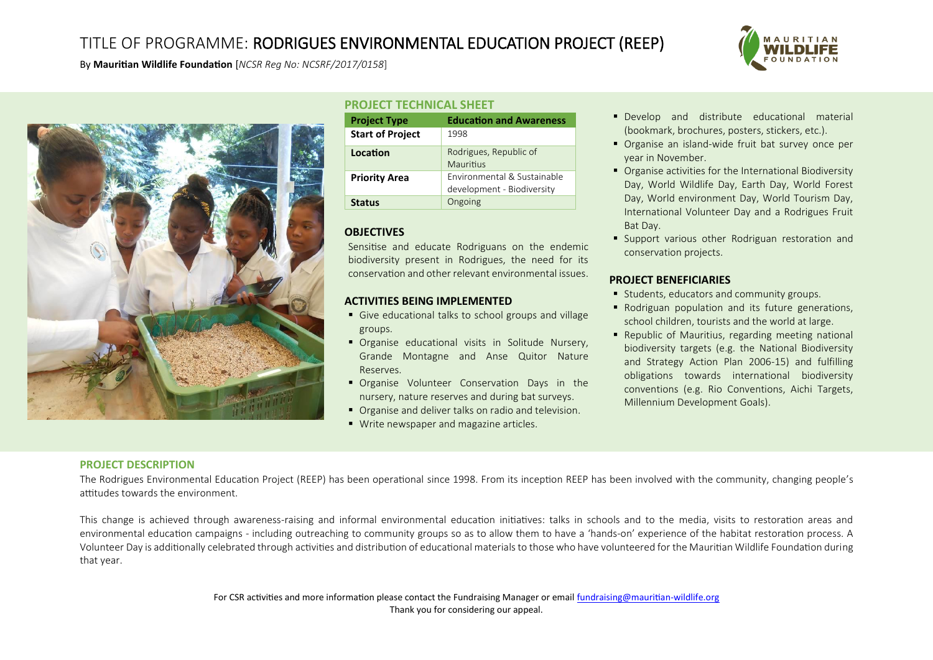# TITLE OF PROGRAMME: RODRIGUES ENVIRONMENTAL EDUCATION PROJECT (REEP)



By **Mauritian Wildlife Foundation** [*NCSR Reg No: NCSRF/2017/0158*]



## **PROJECT TECHNICAL SHEET**

| <b>Project Type</b>     | <b>Education and Awareness</b>                            |
|-------------------------|-----------------------------------------------------------|
| <b>Start of Project</b> | 1998                                                      |
| Location                | Rodrigues, Republic of<br>Mauritius                       |
| <b>Priority Area</b>    | Environmental & Sustainable<br>development - Biodiversity |
| <b>Status</b>           | Ongoing                                                   |

### **OBJECTIVES**

Sensitise and educate Rodriguans on the endemic biodiversity present in Rodrigues, the need for its conservation and other relevant environmental issues.

#### **ACTIVITIES BEING IMPLEMENTED**

- Give educational talks to school groups and village groups.
- **•** Organise educational visits in Solitude Nursery, Grande Montagne and Anse Quitor Nature Reserves.
- **•** Organise Volunteer Conservation Days in the nursery, nature reserves and during bat surveys.
- Organise and deliver talks on radio and television.
- Write newspaper and magazine articles.
- **Develop** and distribute educational material (bookmark, brochures, posters, stickers, etc.).
- Organise an island-wide fruit bat survey once per year in November.
- Organise activities for the International Biodiversity Day, World Wildlife Day, Earth Day, World Forest Day, World environment Day, World Tourism Day, International Volunteer Day and a Rodrigues Fruit Bat Day.
- **Support various other Rodriguan restoration and** conservation projects.

### **PROJECT BENEFICIARIES**

- Students, educators and community groups.
- Rodriguan population and its future generations, school children, tourists and the world at large.
- Republic of Mauritius, regarding meeting national biodiversity targets (e.g. the National Biodiversity and Strategy Action Plan 2006-15) and fulfilling obligations towards international biodiversity conventions (e.g. Rio Conventions, Aichi Targets, Millennium Development Goals).

### **PROJECT DESCRIPTION**

The Rodrigues Environmental Education Project (REEP) has been operational since 1998. From its inception REEP has been involved with the community, changing people's attitudes towards the environment.

This change is achieved through awareness-raising and informal environmental education initiatives: talks in schools and to the media, visits to restoration areas and environmental education campaigns - including outreaching to community groups so as to allow them to have a 'hands-on' experience of the habitat restoration process. A Volunteer Day is additionally celebrated through activities and distribution of educational materials to those who have volunteered for the Mauritian Wildlife Foundation during that year.

> For CSR activities and more information please contact the Fundraising Manager or emai[l fundraising@mauritian-wildlife.org](mailto:fundraising@mauritian-wildlife.org) Thank you for considering our appeal.